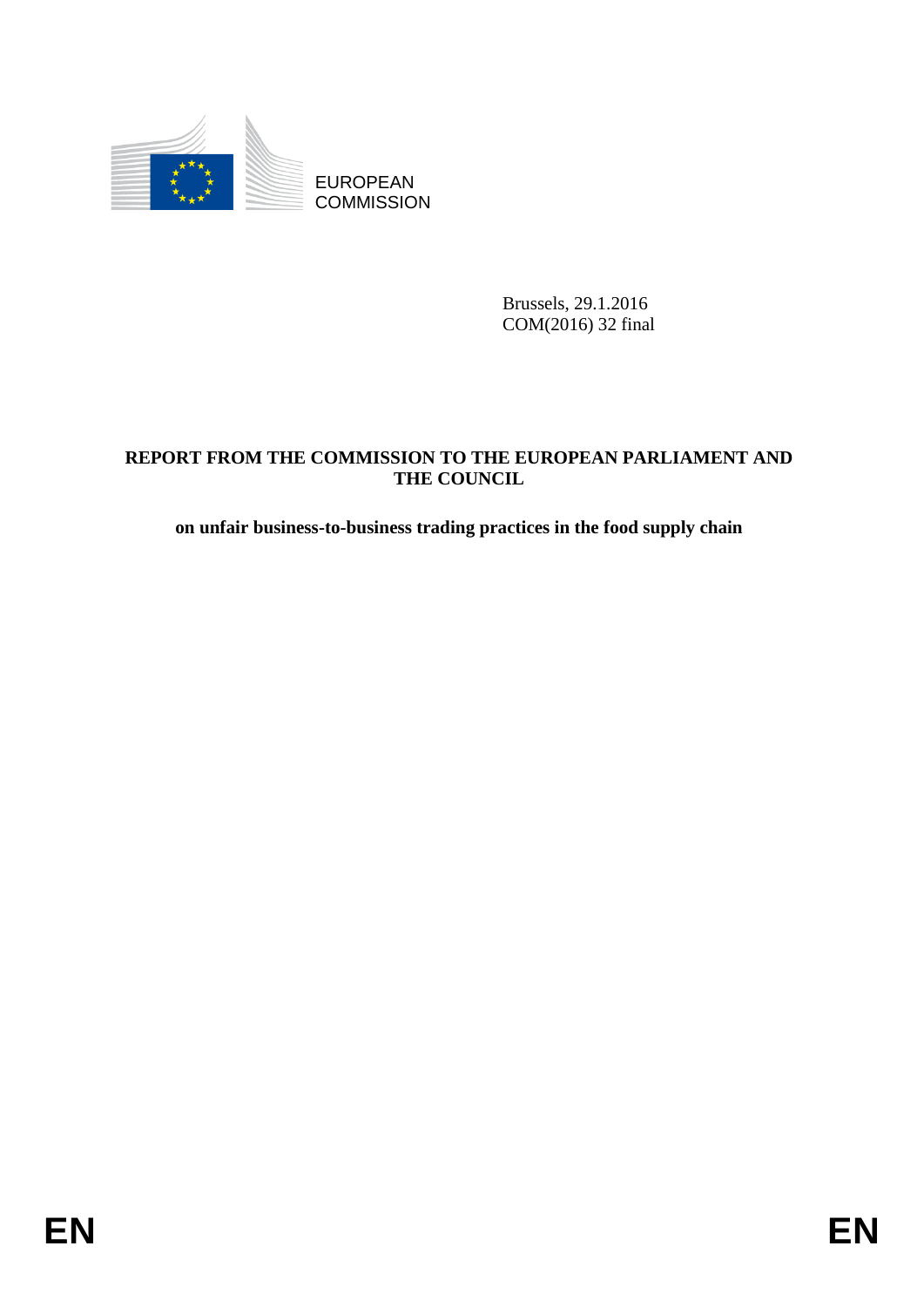

Brussels, 29.1.2016 COM(2016) 32 final

# EUROPEAN<br>
EUROPEAN<br>
ENGLISSION<br>
ENGLISSION<br>
ENGLISSION<br>
ENGLISSION<br> **ENGLISSION CONDUCT PROM**<br>
THE COUNCIL<br> **ENGLISSION**<br>
THE COUNCIL<br> **ENGLISSION**<br> **ENGLISSION**<br> **ENGLISSION**<br> **ENGLISSION**<br> **ENGLISSION**<br> **ENGLISSION**<br> **EN REPORT FROM THE COMMISSION TO THE EUROPEAN PARLIAMENT AND THE COUNCIL**

## **on unfair business-to-business trading practices in the food supply chain**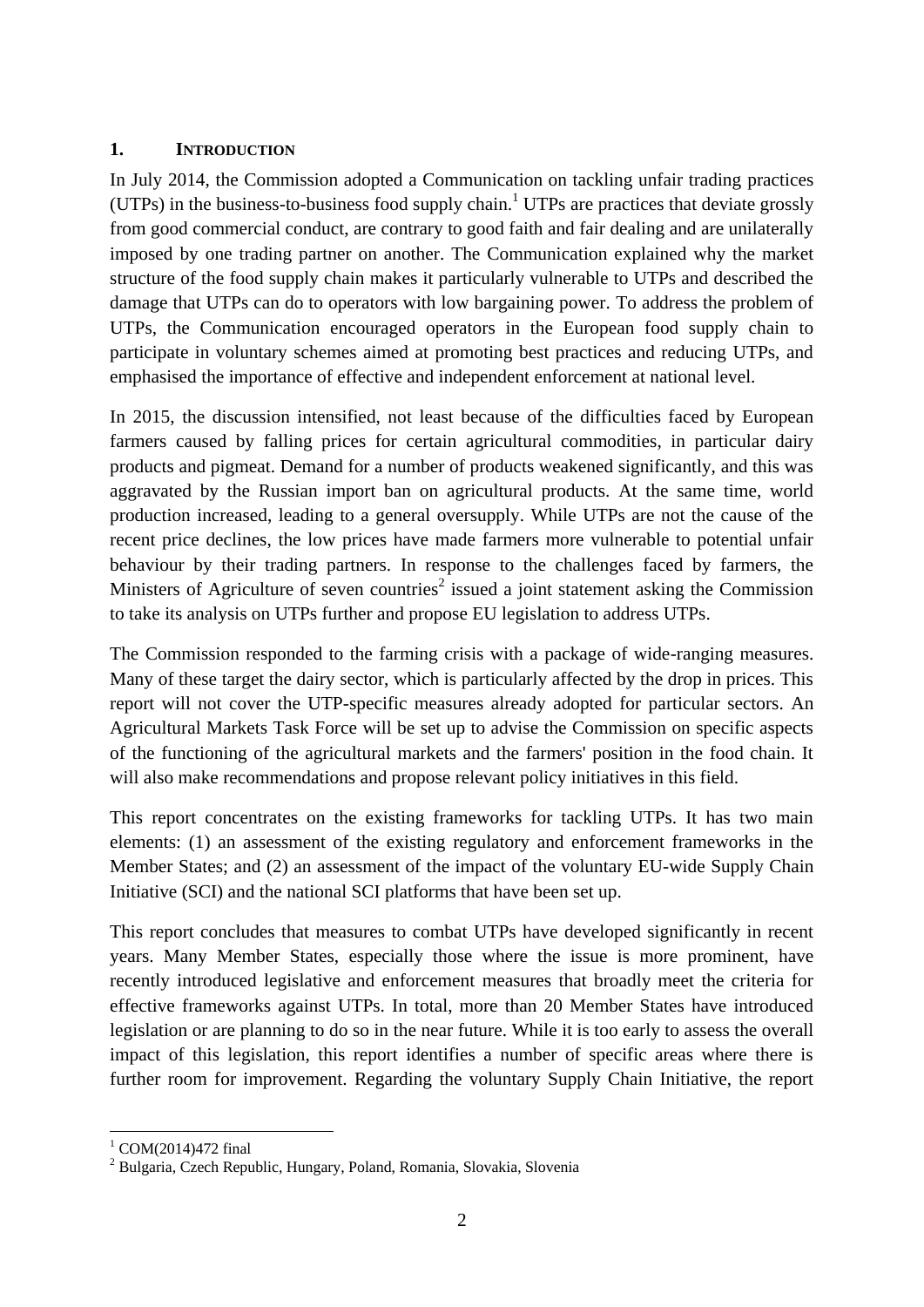#### **1. INTRODUCTION**

In July 2014, the Commission adopted a Communication on tackling unfair trading practices (UTPs) in the business-to-business food supply chain.<sup>1</sup> UTPs are practices that deviate grossly from good commercial conduct, are contrary to good faith and fair dealing and are unilaterally imposed by one trading partner on another. The Communication explained why the market structure of the food supply chain makes it particularly vulnerable to UTPs and described the damage that UTPs can do to operators with low bargaining power. To address the problem of UTPs, the Communication encouraged operators in the European food supply chain to participate in voluntary schemes aimed at promoting best practices and reducing UTPs, and emphasised the importance of effective and independent enforcement at national level.

In 2015, the discussion intensified, not least because of the difficulties faced by European farmers caused by falling prices for certain agricultural commodities, in particular dairy products and pigmeat. Demand for a number of products weakened significantly, and this was aggravated by the Russian import ban on agricultural products. At the same time, world production increased, leading to a general oversupply. While UTPs are not the cause of the recent price declines, the low prices have made farmers more vulnerable to potential unfair behaviour by their trading partners. In response to the challenges faced by farmers, the Ministers of Agriculture of seven countries<sup>2</sup> issued a joint statement asking the Commission to take its analysis on UTPs further and propose EU legislation to address UTPs.

The Commission responded to the farming crisis with a package of wide-ranging measures. Many of these target the dairy sector, which is particularly affected by the drop in prices. This report will not cover the UTP-specific measures already adopted for particular sectors. An Agricultural Markets Task Force will be set up to advise the Commission on specific aspects of the functioning of the agricultural markets and the farmers' position in the food chain. It will also make recommendations and propose relevant policy initiatives in this field.

This report concentrates on the existing frameworks for tackling UTPs. It has two main elements: (1) an assessment of the existing regulatory and enforcement frameworks in the Member States; and (2) an assessment of the impact of the voluntary EU-wide Supply Chain Initiative (SCI) and the national SCI platforms that have been set up.

This report concludes that measures to combat UTPs have developed significantly in recent years. Many Member States, especially those where the issue is more prominent, have recently introduced legislative and enforcement measures that broadly meet the criteria for effective frameworks against UTPs. In total, more than 20 Member States have introduced legislation or are planning to do so in the near future. While it is too early to assess the overall impact of this legislation, this report identifies a number of specific areas where there is further room for improvement. Regarding the voluntary Supply Chain Initiative, the report

<sup>1</sup>  $1$  COM(2014)472 final

<sup>2</sup> Bulgaria, Czech Republic, Hungary, Poland, Romania, Slovakia, Slovenia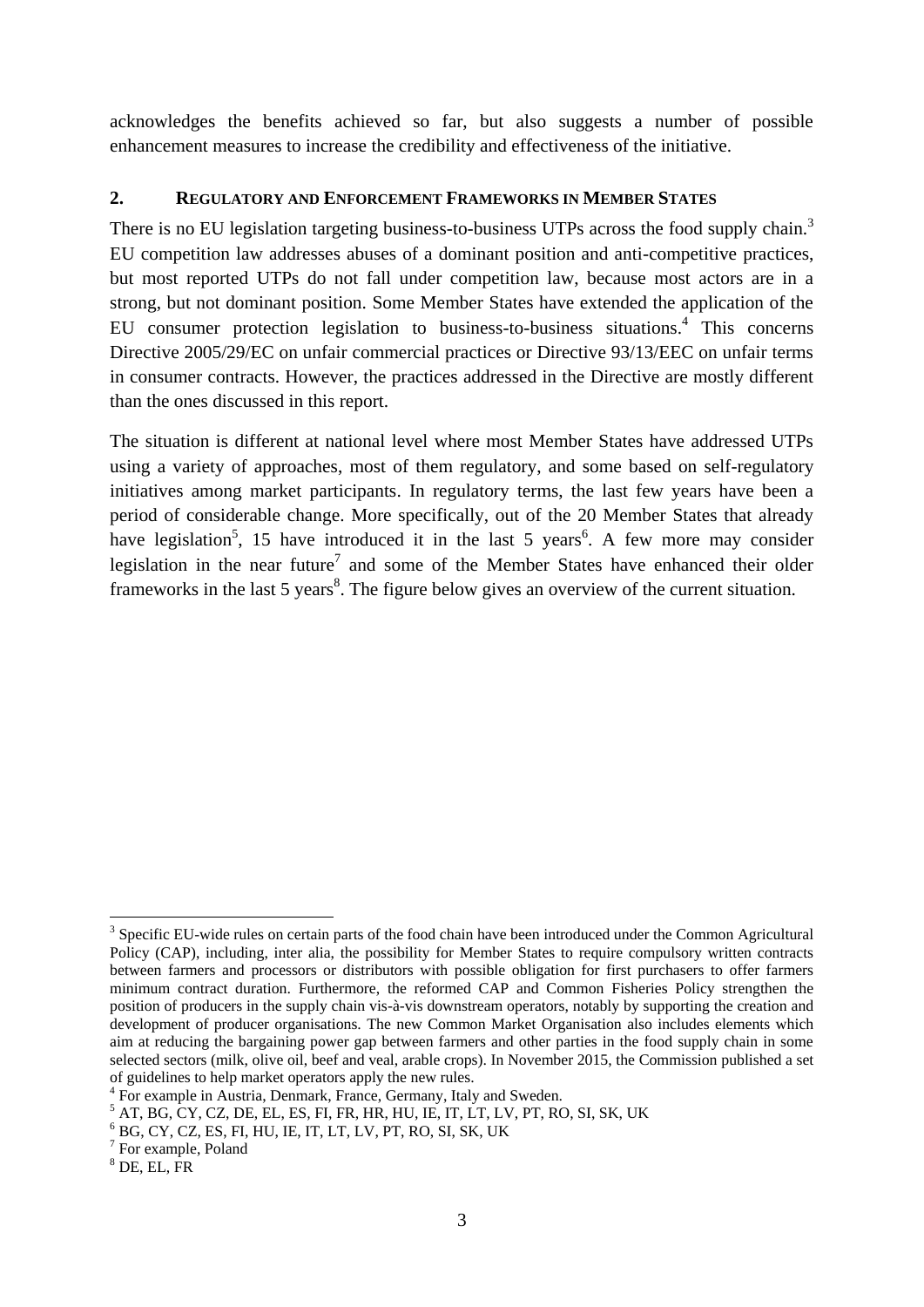acknowledges the benefits achieved so far, but also suggests a number of possible enhancement measures to increase the credibility and effectiveness of the initiative.

#### **2. REGULATORY AND ENFORCEMENT FRAMEWORKS IN MEMBER STATES**

There is no EU legislation targeting business-to-business UTPs across the food supply chain.<sup>3</sup> EU competition law addresses abuses of a dominant position and anti-competitive practices, but most reported UTPs do not fall under competition law, because most actors are in a strong, but not dominant position. Some Member States have extended the application of the EU consumer protection legislation to business-to-business situations.<sup>4</sup> This concerns Directive 2005/29/EC on unfair commercial practices or Directive 93/13/EEC on unfair terms in consumer contracts. However, the practices addressed in the Directive are mostly different than the ones discussed in this report.

The situation is different at national level where most Member States have addressed UTPs using a variety of approaches, most of them regulatory, and some based on self-regulatory initiatives among market participants. In regulatory terms, the last few years have been a period of considerable change. More specifically, out of the 20 Member States that already have legislation<sup>5</sup>, 15 have introduced it in the last 5 years<sup>6</sup>. A few more may consider legislation in the near future<sup>7</sup> and some of the Member States have enhanced their older frameworks in the last 5 years<sup>8</sup>. The figure below gives an overview of the current situation.

1

<sup>&</sup>lt;sup>3</sup> Specific EU-wide rules on certain parts of the food chain have been introduced under the Common Agricultural Policy (CAP), including, inter alia, the possibility for Member States to require compulsory written contracts between farmers and processors or distributors with possible obligation for first purchasers to offer farmers minimum contract duration. Furthermore, the reformed CAP and Common Fisheries Policy strengthen the position of producers in the supply chain vis-à-vis downstream operators, notably by supporting the creation and development of producer organisations. The new Common Market Organisation also includes elements which aim at reducing the bargaining power gap between farmers and other parties in the food supply chain in some selected sectors (milk, olive oil, beef and veal, arable crops). In November 2015, the Commission published a set of guidelines to help market operators apply the new rules.

<sup>&</sup>lt;sup>4</sup> For example in Austria, Denmark, France, Germany, Italy and Sweden.

 $^5$  AT, BG, CY, CZ, DE, EL, ES, FI, FR, HR, HU, IE, IT, LT, LV, PT, RO, SI, SK, UK

 $6$  BG, CY, CZ, ES, FI, HU, IE, IT, LT, LV, PT, RO, SI, SK, UK

<sup>&</sup>lt;sup>7</sup> For example, Poland

 $8$  DE, EL, FR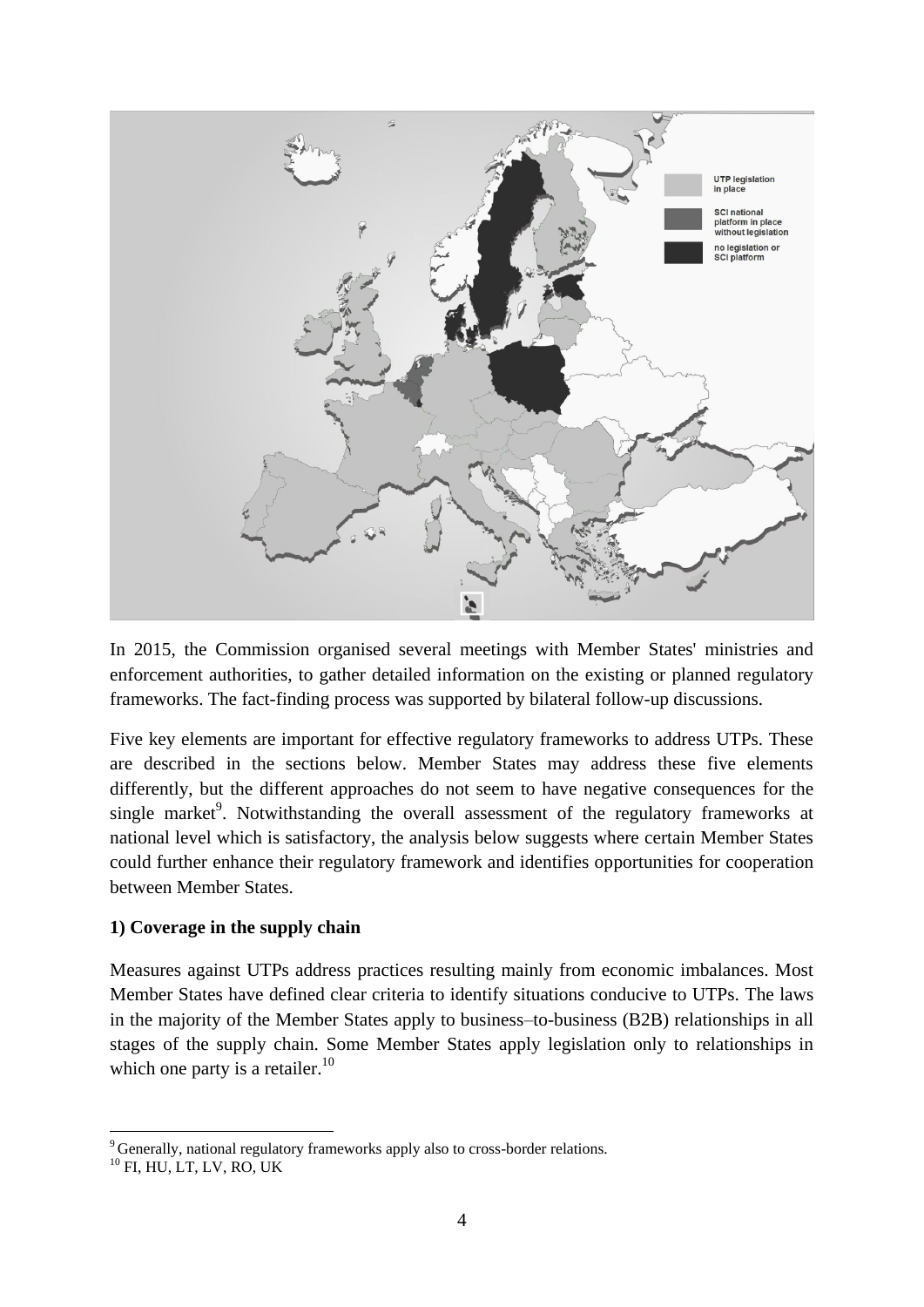

In 2015, the Commission organised several meetings with Member States' ministries and enforcement authorities, to gather detailed information on the existing or planned regulatory frameworks. The fact-finding process was supported by bilateral follow-up discussions.

Five key elements are important for effective regulatory frameworks to address UTPs. These are described in the sections below. Member States may address these five elements differently, but the different approaches do not seem to have negative consequences for the single market<sup>9</sup>. Notwithstanding the overall assessment of the regulatory frameworks at national level which is satisfactory, the analysis below suggests where certain Member States could further enhance their regulatory framework and identifies opportunities for cooperation between Member States.

#### **1) Coverage in the supply chain**

Measures against UTPs address practices resulting mainly from economic imbalances. Most Member States have defined clear criteria to identify situations conducive to UTPs. The laws in the majority of the Member States apply to business–to-business (B2B) relationships in all stages of the supply chain. Some Member States apply legislation only to relationships in which one party is a retailer. $^{10}$ 

1

<sup>&</sup>lt;sup>9</sup> Generally, national regulatory frameworks apply also to cross-border relations.

 $^{10}$  FI, HU, LT, LV, RO, UK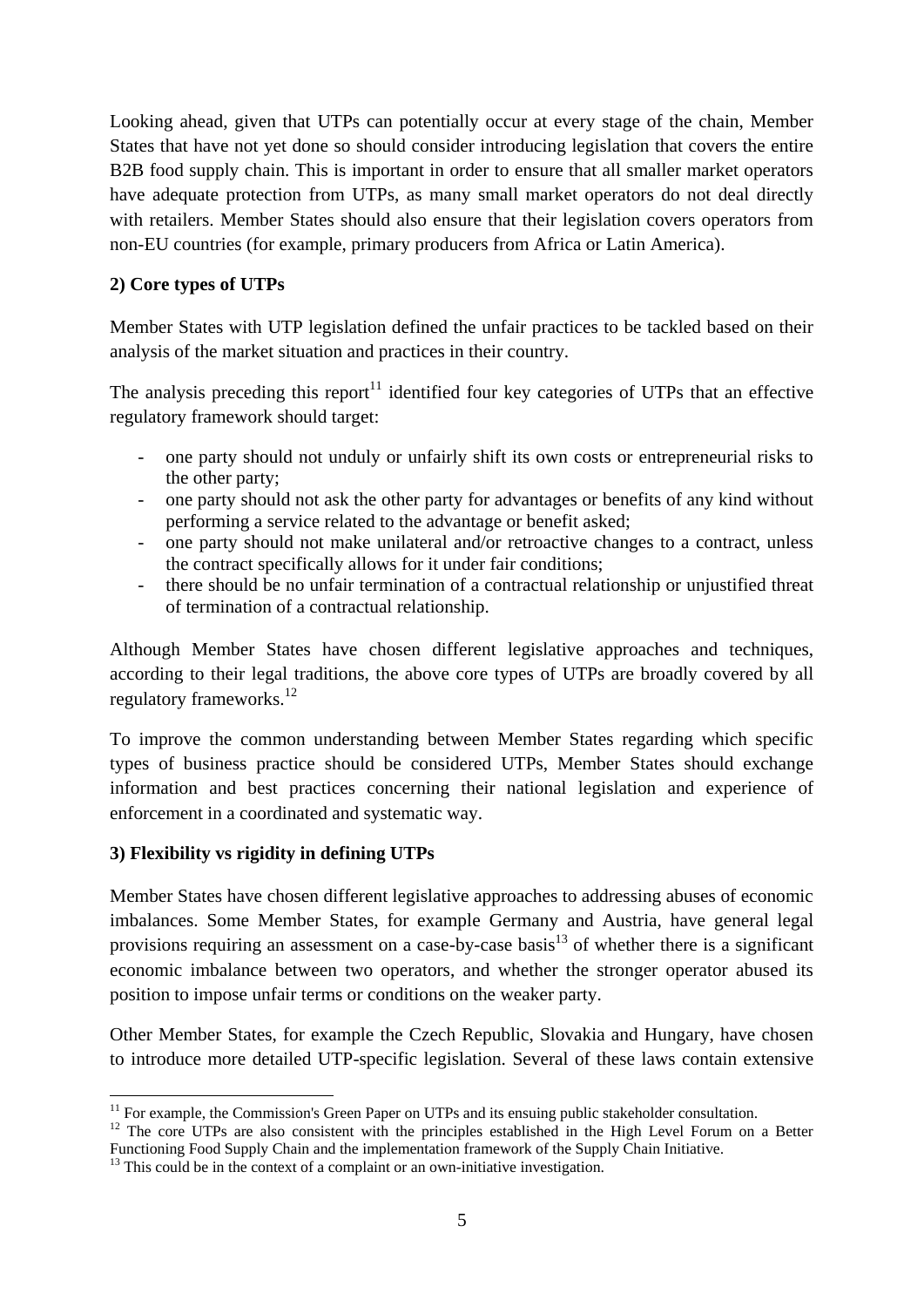Looking ahead, given that UTPs can potentially occur at every stage of the chain, Member States that have not yet done so should consider introducing legislation that covers the entire B2B food supply chain. This is important in order to ensure that all smaller market operators have adequate protection from UTPs, as many small market operators do not deal directly with retailers. Member States should also ensure that their legislation covers operators from non-EU countries (for example, primary producers from Africa or Latin America).

## **2) Core types of UTPs**

Member States with UTP legislation defined the unfair practices to be tackled based on their analysis of the market situation and practices in their country.

The analysis preceding this report<sup>11</sup> identified four key categories of UTPs that an effective regulatory framework should target:

- one party should not unduly or unfairly shift its own costs or entrepreneurial risks to the other party;
- one party should not ask the other party for advantages or benefits of any kind without performing a service related to the advantage or benefit asked;
- one party should not make unilateral and/or retroactive changes to a contract, unless the contract specifically allows for it under fair conditions;
- there should be no unfair termination of a contractual relationship or unjustified threat of termination of a contractual relationship.

Although Member States have chosen different legislative approaches and techniques, according to their legal traditions, the above core types of UTPs are broadly covered by all regulatory frameworks.<sup>12</sup>

To improve the common understanding between Member States regarding which specific types of business practice should be considered UTPs, Member States should exchange information and best practices concerning their national legislation and experience of enforcement in a coordinated and systematic way.

# **3) Flexibility vs rigidity in defining UTPs**

Member States have chosen different legislative approaches to addressing abuses of economic imbalances. Some Member States, for example Germany and Austria, have general legal provisions requiring an assessment on a case-by-case basis<sup>13</sup> of whether there is a significant economic imbalance between two operators, and whether the stronger operator abused its position to impose unfair terms or conditions on the weaker party.

Other Member States, for example the Czech Republic, Slovakia and Hungary, have chosen to introduce more detailed UTP-specific legislation. Several of these laws contain extensive

<sup>1</sup>  $11$  For example, the Commission's Green Paper on UTPs and its ensuing public stakeholder consultation.

<sup>&</sup>lt;sup>12</sup> The core UTPs are also consistent with the principles established in the High Level Forum on a Better Functioning Food Supply Chain and the implementation framework of the Supply Chain Initiative.

<sup>&</sup>lt;sup>13</sup> This could be in the context of a complaint or an own-initiative investigation.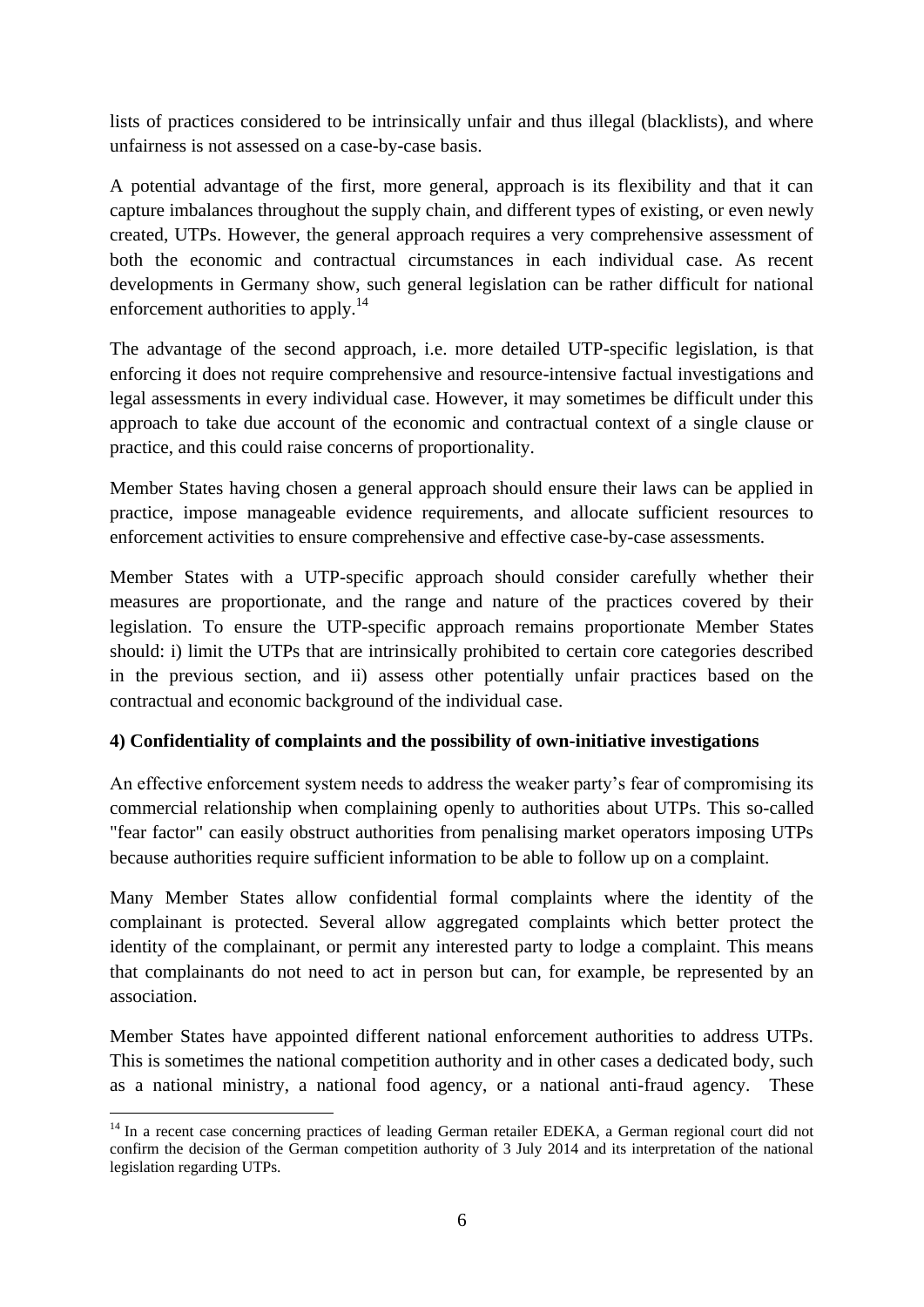lists of practices considered to be intrinsically unfair and thus illegal (blacklists), and where unfairness is not assessed on a case-by-case basis.

A potential advantage of the first, more general, approach is its flexibility and that it can capture imbalances throughout the supply chain, and different types of existing, or even newly created, UTPs. However, the general approach requires a very comprehensive assessment of both the economic and contractual circumstances in each individual case. As recent developments in Germany show, such general legislation can be rather difficult for national enforcement authorities to apply.<sup>14</sup>

The advantage of the second approach, i.e. more detailed UTP-specific legislation, is that enforcing it does not require comprehensive and resource-intensive factual investigations and legal assessments in every individual case. However, it may sometimes be difficult under this approach to take due account of the economic and contractual context of a single clause or practice, and this could raise concerns of proportionality.

Member States having chosen a general approach should ensure their laws can be applied in practice, impose manageable evidence requirements, and allocate sufficient resources to enforcement activities to ensure comprehensive and effective case-by-case assessments.

Member States with a UTP-specific approach should consider carefully whether their measures are proportionate, and the range and nature of the practices covered by their legislation. To ensure the UTP-specific approach remains proportionate Member States should: i) limit the UTPs that are intrinsically prohibited to certain core categories described in the previous section, and ii) assess other potentially unfair practices based on the contractual and economic background of the individual case.

# **4) Confidentiality of complaints and the possibility of own-initiative investigations**

An effective enforcement system needs to address the weaker party's fear of compromising its commercial relationship when complaining openly to authorities about UTPs. This so-called "fear factor" can easily obstruct authorities from penalising market operators imposing UTPs because authorities require sufficient information to be able to follow up on a complaint.

Many Member States allow confidential formal complaints where the identity of the complainant is protected. Several allow aggregated complaints which better protect the identity of the complainant, or permit any interested party to lodge a complaint. This means that complainants do not need to act in person but can, for example, be represented by an association.

Member States have appointed different national enforcement authorities to address UTPs. This is sometimes the national competition authority and in other cases a dedicated body, such as a national ministry, a national food agency, or a national anti-fraud agency. These

<sup>&</sup>lt;u>.</u> <sup>14</sup> In a recent case concerning practices of leading German retailer EDEKA, a German regional court did not confirm the decision of the German competition authority of 3 July 2014 and its interpretation of the national legislation regarding UTPs.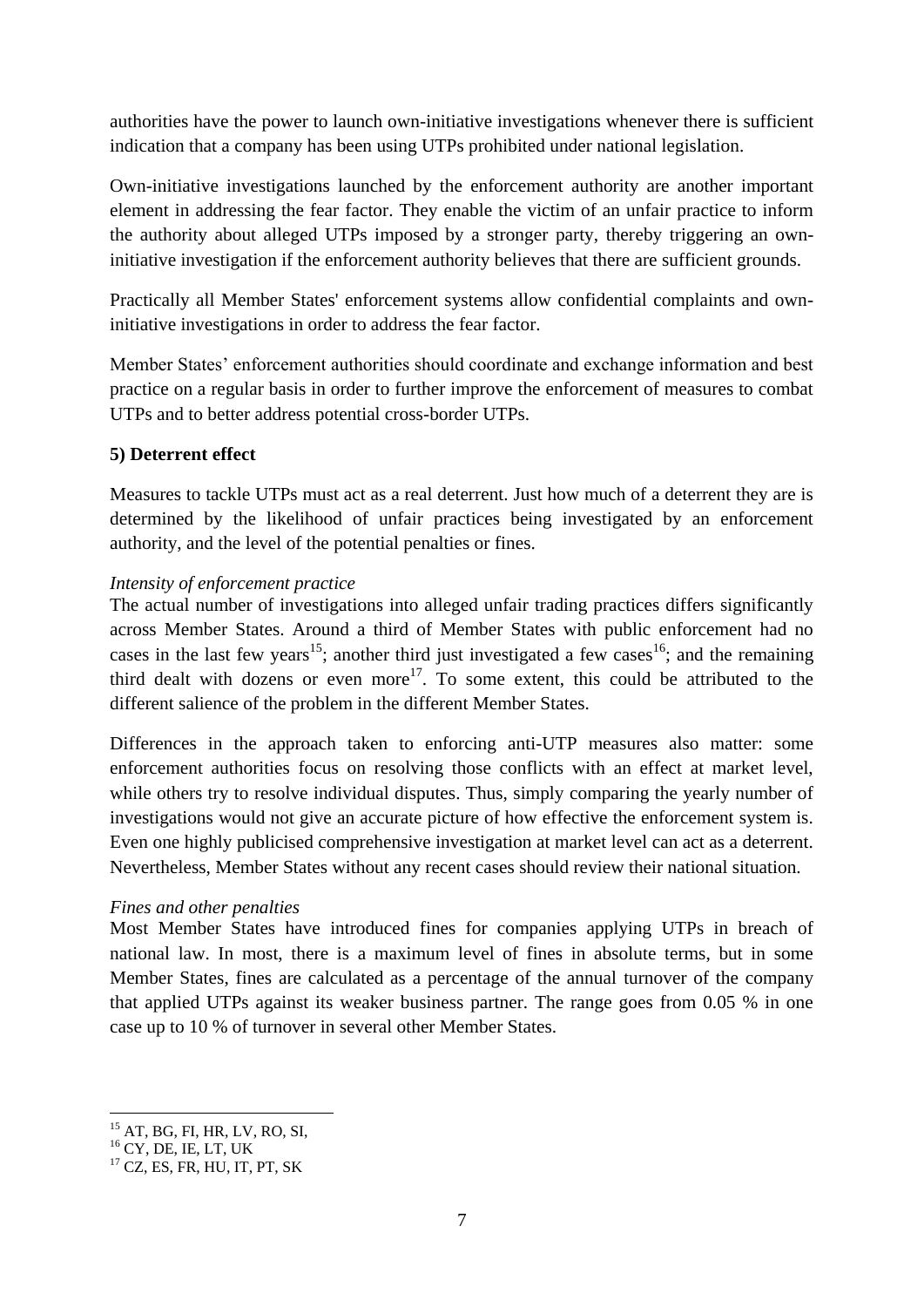authorities have the power to launch own-initiative investigations whenever there is sufficient indication that a company has been using UTPs prohibited under national legislation.

Own-initiative investigations launched by the enforcement authority are another important element in addressing the fear factor. They enable the victim of an unfair practice to inform the authority about alleged UTPs imposed by a stronger party, thereby triggering an owninitiative investigation if the enforcement authority believes that there are sufficient grounds.

Practically all Member States' enforcement systems allow confidential complaints and owninitiative investigations in order to address the fear factor.

Member States' enforcement authorities should coordinate and exchange information and best practice on a regular basis in order to further improve the enforcement of measures to combat UTPs and to better address potential cross-border UTPs.

# **5) Deterrent effect**

Measures to tackle UTPs must act as a real deterrent. Just how much of a deterrent they are is determined by the likelihood of unfair practices being investigated by an enforcement authority, and the level of the potential penalties or fines.

#### *Intensity of enforcement practice*

The actual number of investigations into alleged unfair trading practices differs significantly across Member States. Around a third of Member States with public enforcement had no cases in the last few years<sup>15</sup>; another third just investigated a few cases<sup>16</sup>; and the remaining third dealt with dozens or even more<sup>17</sup>. To some extent, this could be attributed to the different salience of the problem in the different Member States.

Differences in the approach taken to enforcing anti-UTP measures also matter: some enforcement authorities focus on resolving those conflicts with an effect at market level, while others try to resolve individual disputes. Thus, simply comparing the yearly number of investigations would not give an accurate picture of how effective the enforcement system is. Even one highly publicised comprehensive investigation at market level can act as a deterrent. Nevertheless, Member States without any recent cases should review their national situation.

#### *Fines and other penalties*

Most Member States have introduced fines for companies applying UTPs in breach of national law. In most, there is a maximum level of fines in absolute terms, but in some Member States, fines are calculated as a percentage of the annual turnover of the company that applied UTPs against its weaker business partner. The range goes from 0.05 % in one case up to 10 % of turnover in several other Member States.

<sup>&</sup>lt;u>.</u> <sup>15</sup> AT, BG, FI, HR, LV, RO, SI,

 $16$  CY, DE, IE, LT, UK

<sup>17</sup> CZ, ES, FR, HU, IT, PT, SK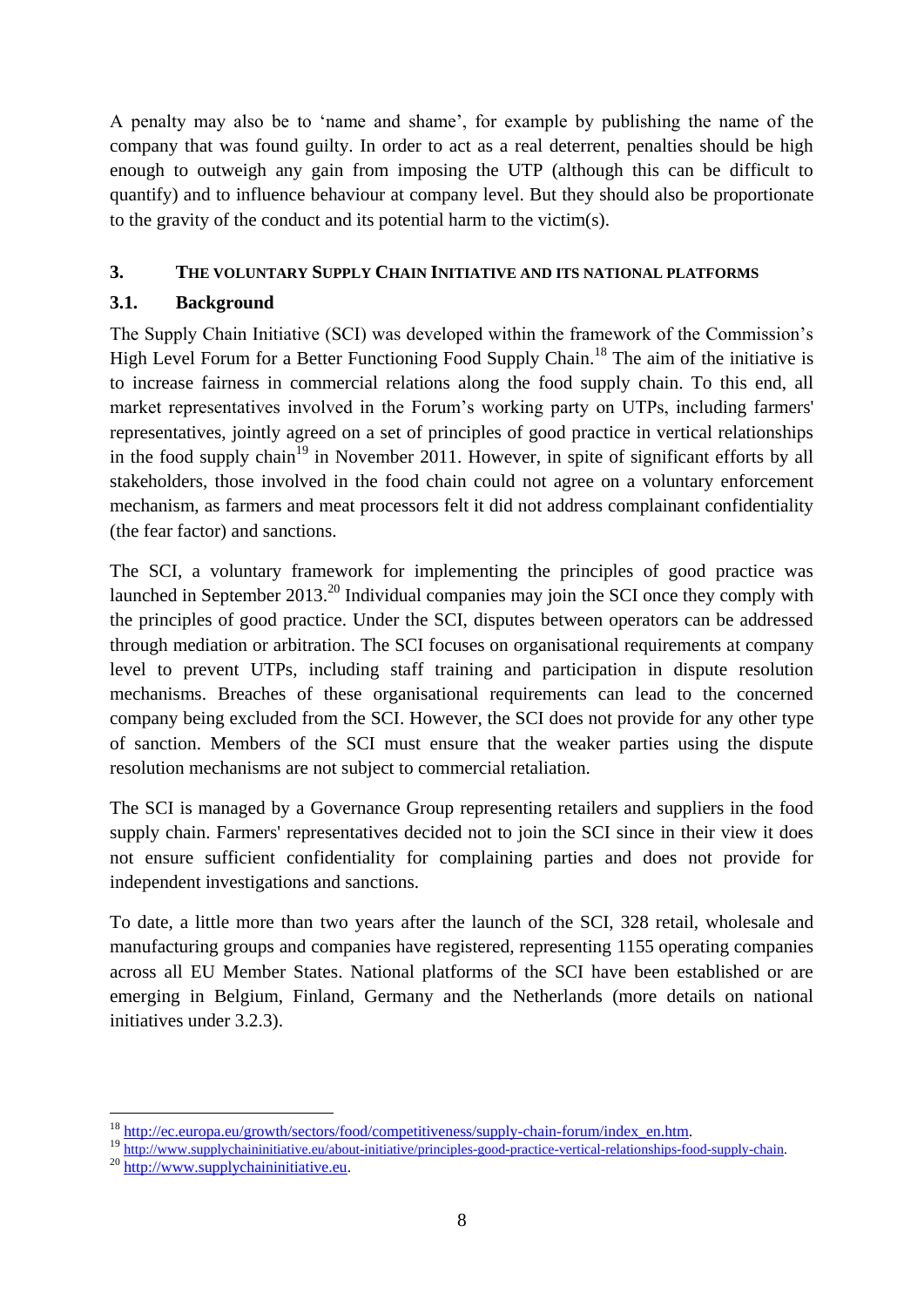A penalty may also be to 'name and shame', for example by publishing the name of the company that was found guilty. In order to act as a real deterrent, penalties should be high enough to outweigh any gain from imposing the UTP (although this can be difficult to quantify) and to influence behaviour at company level. But they should also be proportionate to the gravity of the conduct and its potential harm to the victim(s).

# **3. THE VOLUNTARY SUPPLY CHAIN INITIATIVE AND ITS NATIONAL PLATFORMS**

# **3.1. Background**

The Supply Chain Initiative (SCI) was developed within the framework of the Commission's High Level Forum for a Better Functioning Food Supply Chain.<sup>18</sup> The aim of the initiative is to increase fairness in commercial relations along the food supply chain. To this end, all market representatives involved in the Forum's working party on UTPs, including farmers' representatives, jointly agreed on a set of principles of good practice in vertical relationships in the food supply chain<sup>19</sup> in November 2011. However, in spite of significant efforts by all stakeholders, those involved in the food chain could not agree on a voluntary enforcement mechanism, as farmers and meat processors felt it did not address complainant confidentiality (the fear factor) and sanctions.

The SCI, a voluntary framework for implementing the principles of good practice was launched in September  $2013<sup>20</sup>$  Individual companies may join the SCI once they comply with the principles of good practice. Under the SCI, disputes between operators can be addressed through mediation or arbitration. The SCI focuses on organisational requirements at company level to prevent UTPs, including staff training and participation in dispute resolution mechanisms. Breaches of these organisational requirements can lead to the concerned company being excluded from the SCI. However, the SCI does not provide for any other type of sanction. Members of the SCI must ensure that the weaker parties using the dispute resolution mechanisms are not subject to commercial retaliation.

The SCI is managed by a Governance Group representing retailers and suppliers in the food supply chain. Farmers' representatives decided not to join the SCI since in their view it does not ensure sufficient confidentiality for complaining parties and does not provide for independent investigations and sanctions.

To date, a little more than two years after the launch of the SCI, 328 retail, wholesale and manufacturing groups and companies have registered, representing 1155 operating companies across all EU Member States. National platforms of the SCI have been established or are emerging in Belgium, Finland, Germany and the Netherlands (more details on national initiatives under 3.2.3).

<sup>&</sup>lt;u>.</u> <sup>18</sup> http://ec.europa.eu/growth/sectors/food/competitiveness/supply-chain-forum/index\_en.htm.

<sup>&</sup>lt;sup>19</sup> http://www.supplychaininitiative.eu/about-initiative/principles-good-practice-vertical-relationships-food-supply-chain.

<sup>20</sup> http://www.supplychaininitiative.eu.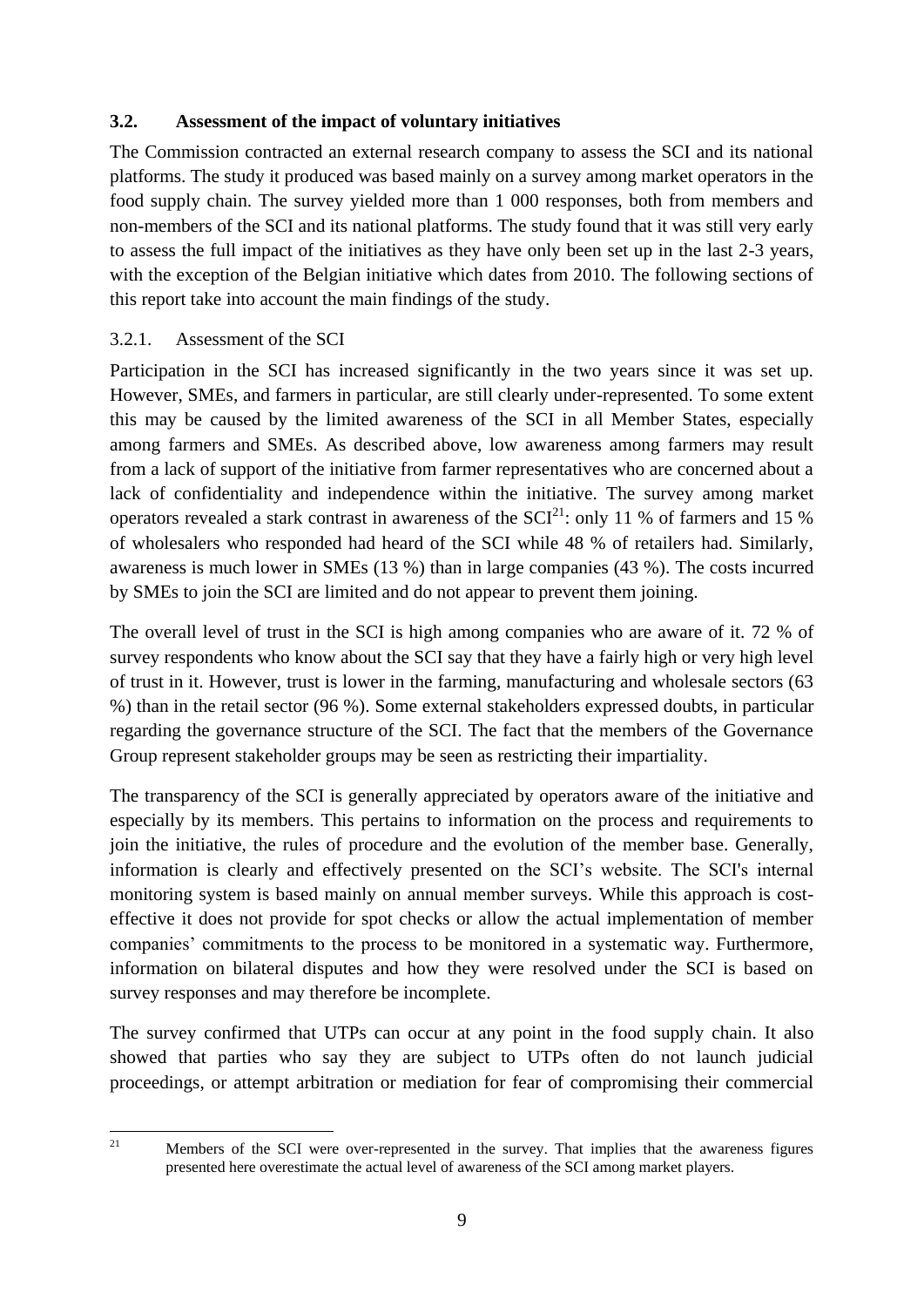#### **3.2. Assessment of the impact of voluntary initiatives**

The Commission contracted an external research company to assess the SCI and its national platforms. The study it produced was based mainly on a survey among market operators in the food supply chain. The survey yielded more than 1 000 responses, both from members and non-members of the SCI and its national platforms. The study found that it was still very early to assess the full impact of the initiatives as they have only been set up in the last 2-3 years, with the exception of the Belgian initiative which dates from 2010. The following sections of this report take into account the main findings of the study.

## 3.2.1. Assessment of the SCI

Participation in the SCI has increased significantly in the two years since it was set up. However, SMEs, and farmers in particular, are still clearly under-represented. To some extent this may be caused by the limited awareness of the SCI in all Member States, especially among farmers and SMEs. As described above, low awareness among farmers may result from a lack of support of the initiative from farmer representatives who are concerned about a lack of confidentiality and independence within the initiative. The survey among market operators revealed a stark contrast in awareness of the  $\text{SCI}^{21}$ : only 11 % of farmers and 15 % of wholesalers who responded had heard of the SCI while 48 % of retailers had. Similarly, awareness is much lower in SMEs (13 %) than in large companies (43 %). The costs incurred by SMEs to join the SCI are limited and do not appear to prevent them joining.

The overall level of trust in the SCI is high among companies who are aware of it. 72 % of survey respondents who know about the SCI say that they have a fairly high or very high level of trust in it. However, trust is lower in the farming, manufacturing and wholesale sectors (63 %) than in the retail sector (96 %). Some external stakeholders expressed doubts, in particular regarding the governance structure of the SCI. The fact that the members of the Governance Group represent stakeholder groups may be seen as restricting their impartiality.

The transparency of the SCI is generally appreciated by operators aware of the initiative and especially by its members. This pertains to information on the process and requirements to join the initiative, the rules of procedure and the evolution of the member base. Generally, information is clearly and effectively presented on the SCI's website. The SCI's internal monitoring system is based mainly on annual member surveys. While this approach is costeffective it does not provide for spot checks or allow the actual implementation of member companies' commitments to the process to be monitored in a systematic way. Furthermore, information on bilateral disputes and how they were resolved under the SCI is based on survey responses and may therefore be incomplete.

The survey confirmed that UTPs can occur at any point in the food supply chain. It also showed that parties who say they are subject to UTPs often do not launch judicial proceedings, or attempt arbitration or mediation for fear of compromising their commercial

 $21$ 

<sup>21</sup> Members of the SCI were over-represented in the survey. That implies that the awareness figures presented here overestimate the actual level of awareness of the SCI among market players.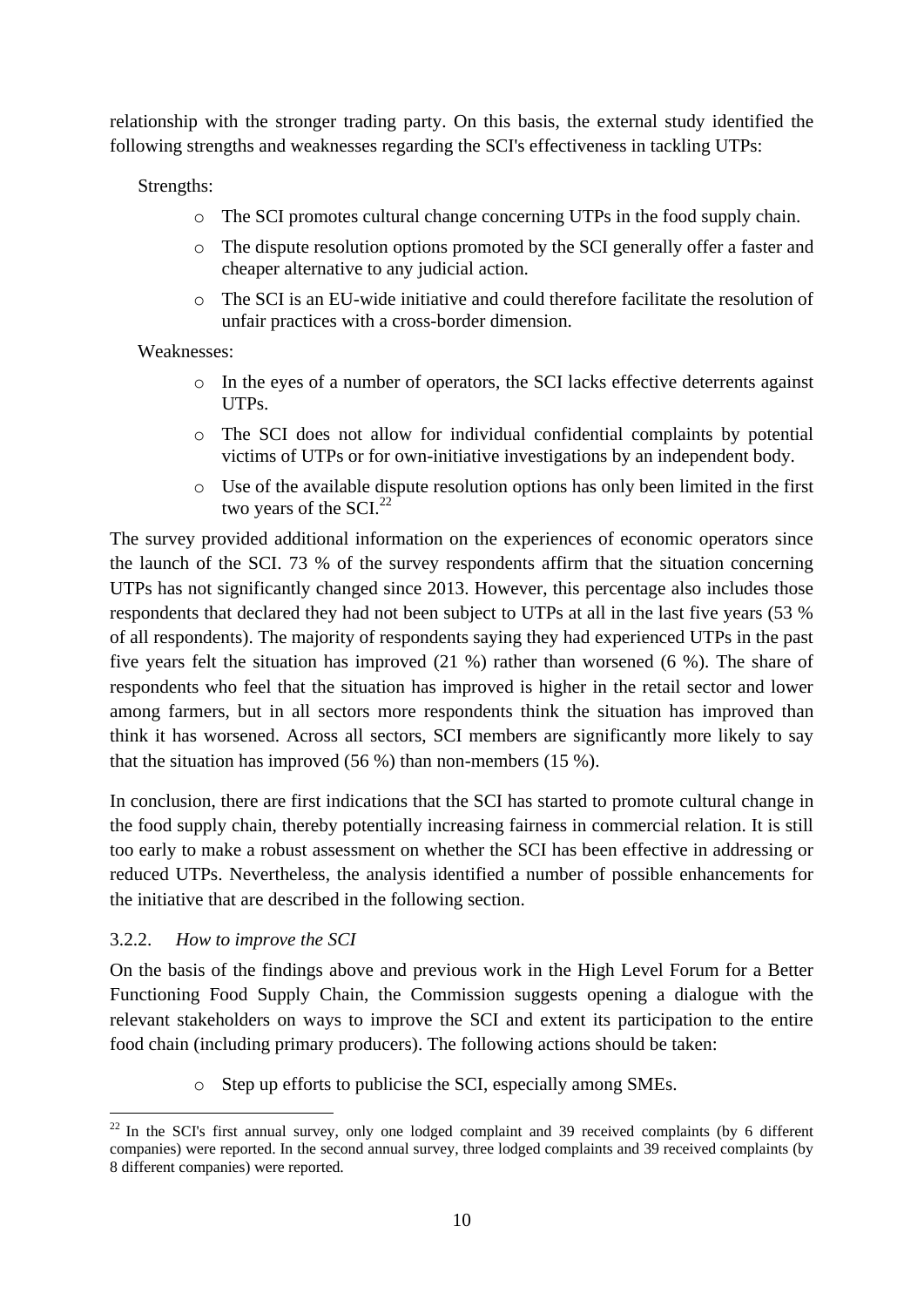relationship with the stronger trading party. On this basis, the external study identified the following strengths and weaknesses regarding the SCI's effectiveness in tackling UTPs:

Strengths:

- $\circ$  The SCI promotes cultural change concerning UTPs in the food supply chain.
- o The dispute resolution options promoted by the SCI generally offer a faster and cheaper alternative to any judicial action.
- o The SCI is an EU-wide initiative and could therefore facilitate the resolution of unfair practices with a cross-border dimension.

Weaknesses:

- o In the eyes of a number of operators, the SCI lacks effective deterrents against UTPs.
- o The SCI does not allow for individual confidential complaints by potential victims of UTPs or for own-initiative investigations by an independent body.
- o Use of the available dispute resolution options has only been limited in the first two years of the  $SCI<sup>22</sup>$

The survey provided additional information on the experiences of economic operators since the launch of the SCI. 73 % of the survey respondents affirm that the situation concerning UTPs has not significantly changed since 2013. However, this percentage also includes those respondents that declared they had not been subject to UTPs at all in the last five years (53 % of all respondents). The majority of respondents saying they had experienced UTPs in the past five years felt the situation has improved (21 %) rather than worsened (6 %). The share of respondents who feel that the situation has improved is higher in the retail sector and lower among farmers, but in all sectors more respondents think the situation has improved than think it has worsened. Across all sectors, SCI members are significantly more likely to say that the situation has improved (56 %) than non-members (15 %).

In conclusion, there are first indications that the SCI has started to promote cultural change in the food supply chain, thereby potentially increasing fairness in commercial relation. It is still too early to make a robust assessment on whether the SCI has been effective in addressing or reduced UTPs. Nevertheless, the analysis identified a number of possible enhancements for the initiative that are described in the following section.

# 3.2.2. *How to improve the SCI*

On the basis of the findings above and previous work in the High Level Forum for a Better Functioning Food Supply Chain, the Commission suggests opening a dialogue with the relevant stakeholders on ways to improve the SCI and extent its participation to the entire food chain (including primary producers). The following actions should be taken:

o Step up efforts to publicise the SCI, especially among SMEs.

<sup>&</sup>lt;u>.</u>  $22$  In the SCI's first annual survey, only one lodged complaint and 39 received complaints (by 6 different companies) were reported. In the second annual survey, three lodged complaints and 39 received complaints (by 8 different companies) were reported.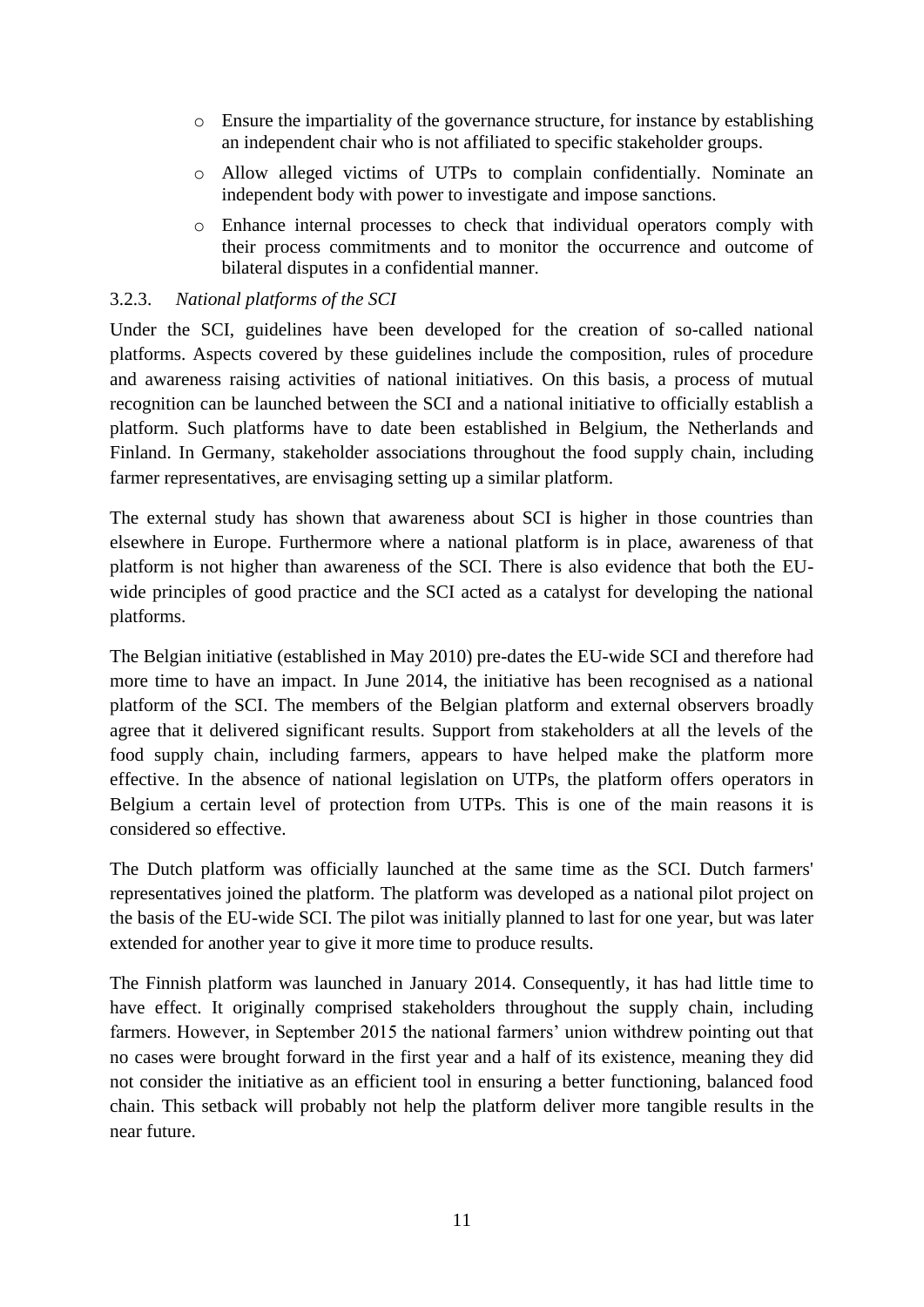- o Ensure the impartiality of the governance structure, for instance by establishing an independent chair who is not affiliated to specific stakeholder groups.
- o Allow alleged victims of UTPs to complain confidentially. Nominate an independent body with power to investigate and impose sanctions.
- o Enhance internal processes to check that individual operators comply with their process commitments and to monitor the occurrence and outcome of bilateral disputes in a confidential manner.

#### 3.2.3. *National platforms of the SCI*

Under the SCI, guidelines have been developed for the creation of so-called national platforms. Aspects covered by these guidelines include the composition, rules of procedure and awareness raising activities of national initiatives. On this basis, a process of mutual recognition can be launched between the SCI and a national initiative to officially establish a platform. Such platforms have to date been established in Belgium, the Netherlands and Finland. In Germany, stakeholder associations throughout the food supply chain, including farmer representatives, are envisaging setting up a similar platform.

The external study has shown that awareness about SCI is higher in those countries than elsewhere in Europe. Furthermore where a national platform is in place, awareness of that platform is not higher than awareness of the SCI. There is also evidence that both the EUwide principles of good practice and the SCI acted as a catalyst for developing the national platforms.

The Belgian initiative (established in May 2010) pre-dates the EU-wide SCI and therefore had more time to have an impact. In June 2014, the initiative has been recognised as a national platform of the SCI. The members of the Belgian platform and external observers broadly agree that it delivered significant results. Support from stakeholders at all the levels of the food supply chain, including farmers, appears to have helped make the platform more effective. In the absence of national legislation on UTPs, the platform offers operators in Belgium a certain level of protection from UTPs. This is one of the main reasons it is considered so effective.

The Dutch platform was officially launched at the same time as the SCI. Dutch farmers' representatives joined the platform. The platform was developed as a national pilot project on the basis of the EU-wide SCI. The pilot was initially planned to last for one year, but was later extended for another year to give it more time to produce results.

The Finnish platform was launched in January 2014. Consequently, it has had little time to have effect. It originally comprised stakeholders throughout the supply chain, including farmers. However, in September 2015 the national farmers' union withdrew pointing out that no cases were brought forward in the first year and a half of its existence, meaning they did not consider the initiative as an efficient tool in ensuring a better functioning, balanced food chain. This setback will probably not help the platform deliver more tangible results in the near future.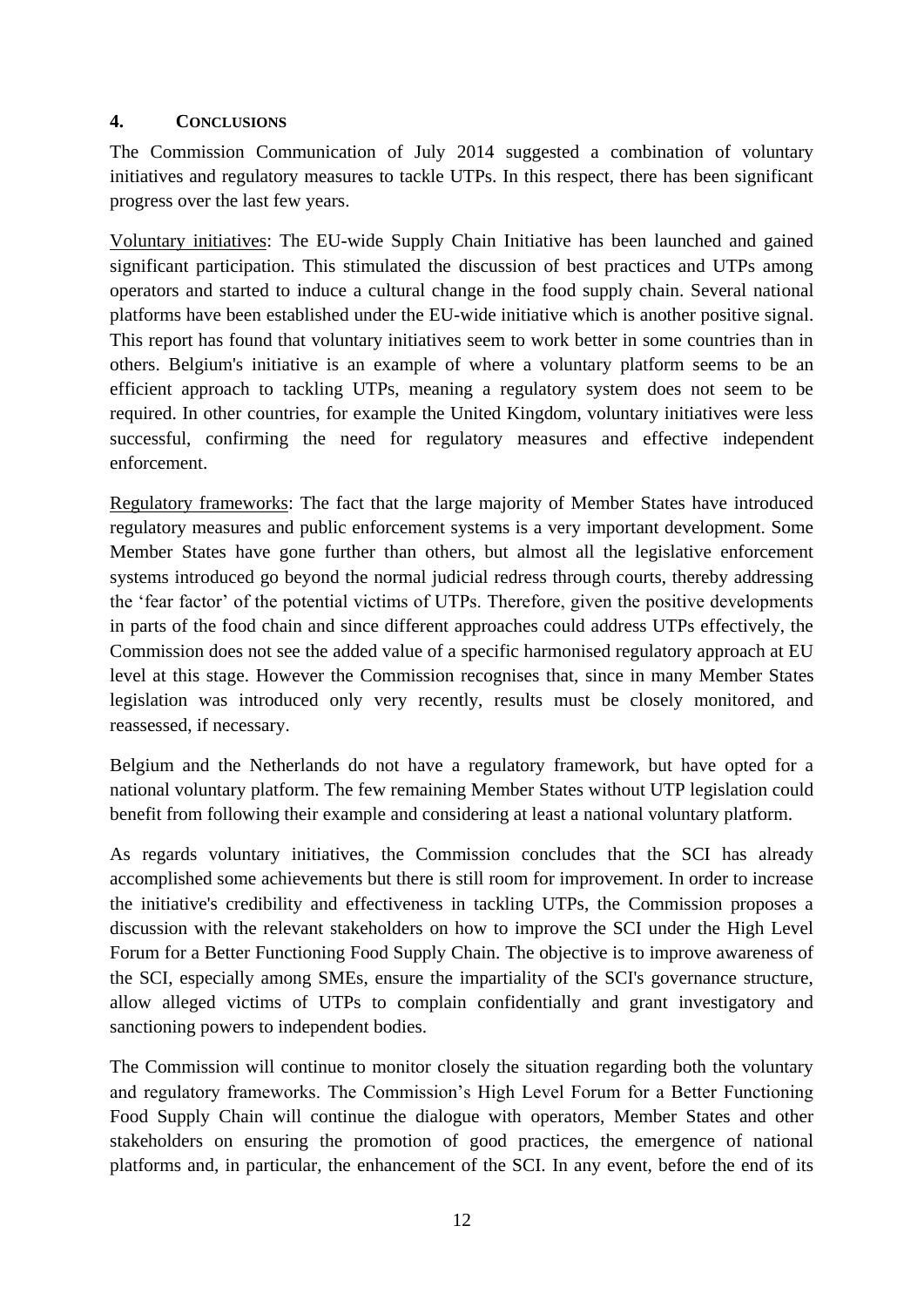#### **4. CONCLUSIONS**

The Commission Communication of July 2014 suggested a combination of voluntary initiatives and regulatory measures to tackle UTPs. In this respect, there has been significant progress over the last few years.

Voluntary initiatives: The EU-wide Supply Chain Initiative has been launched and gained significant participation. This stimulated the discussion of best practices and UTPs among operators and started to induce a cultural change in the food supply chain. Several national platforms have been established under the EU-wide initiative which is another positive signal. This report has found that voluntary initiatives seem to work better in some countries than in others. Belgium's initiative is an example of where a voluntary platform seems to be an efficient approach to tackling UTPs, meaning a regulatory system does not seem to be required. In other countries, for example the United Kingdom, voluntary initiatives were less successful, confirming the need for regulatory measures and effective independent enforcement.

Regulatory frameworks: The fact that the large majority of Member States have introduced regulatory measures and public enforcement systems is a very important development. Some Member States have gone further than others, but almost all the legislative enforcement systems introduced go beyond the normal judicial redress through courts, thereby addressing the 'fear factor' of the potential victims of UTPs. Therefore, given the positive developments in parts of the food chain and since different approaches could address UTPs effectively, the Commission does not see the added value of a specific harmonised regulatory approach at EU level at this stage. However the Commission recognises that, since in many Member States legislation was introduced only very recently, results must be closely monitored, and reassessed, if necessary.

Belgium and the Netherlands do not have a regulatory framework, but have opted for a national voluntary platform. The few remaining Member States without UTP legislation could benefit from following their example and considering at least a national voluntary platform.

As regards voluntary initiatives, the Commission concludes that the SCI has already accomplished some achievements but there is still room for improvement. In order to increase the initiative's credibility and effectiveness in tackling UTPs, the Commission proposes a discussion with the relevant stakeholders on how to improve the SCI under the High Level Forum for a Better Functioning Food Supply Chain. The objective is to improve awareness of the SCI, especially among SMEs, ensure the impartiality of the SCI's governance structure, allow alleged victims of UTPs to complain confidentially and grant investigatory and sanctioning powers to independent bodies.

The Commission will continue to monitor closely the situation regarding both the voluntary and regulatory frameworks. The Commission's High Level Forum for a Better Functioning Food Supply Chain will continue the dialogue with operators, Member States and other stakeholders on ensuring the promotion of good practices, the emergence of national platforms and, in particular, the enhancement of the SCI. In any event, before the end of its